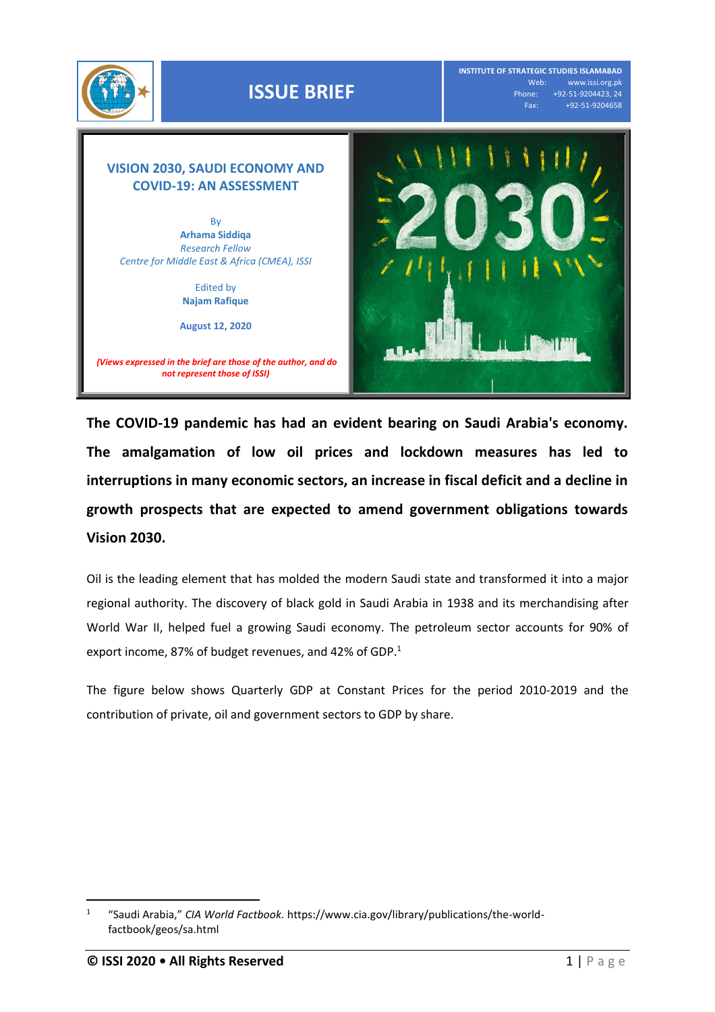

**INSTITUTE OF STRATEGIC STUDIES ISLAMABAD** Web: www.issi.org.pk<br>Phone: +92-51-9204423, 24 one: +92-51-9204423, 24<br>Fax: +92-51-9204658 Fax: +92-51-9204658

# **VISION 2030, SAUDI ECONOMY AND COVID-19: AN ASSESSMENT**

By **Arhama Siddiqa** *Research Fellow Centre for Middle East & Africa (CMEA), ISSI*

> Edited by **Najam Rafique**

**August 12, 2020**





**The COVID-19 pandemic has had an evident bearing on Saudi Arabia's economy. The amalgamation of low oil prices and lockdown measures has led to interruptions in many economic sectors, an increase in fiscal deficit and a decline in growth prospects that are expected to amend government obligations towards Vision 2030.**

Oil is the leading element that has molded the modern Saudi state and transformed it into a major regional authority. The discovery of black gold in Saudi Arabia in 1938 and its merchandising after World War II, helped fuel a growing Saudi economy. The petroleum sector accounts for 90% of export income, 87% of budget revenues, and 42% of GDP. 1

The figure below shows Quarterly GDP at Constant Prices for the period 2010-2019 and the contribution of private, oil and government sectors to GDP by share.

<sup>1</sup> "Saudi Arabia," *CIA World Factbook.* [https://www.cia.gov/library/publications/the-world](https://www.cia.gov/library/publications/the-world-factbook/geos/sa.html)[factbook/geos/sa.html](https://www.cia.gov/library/publications/the-world-factbook/geos/sa.html)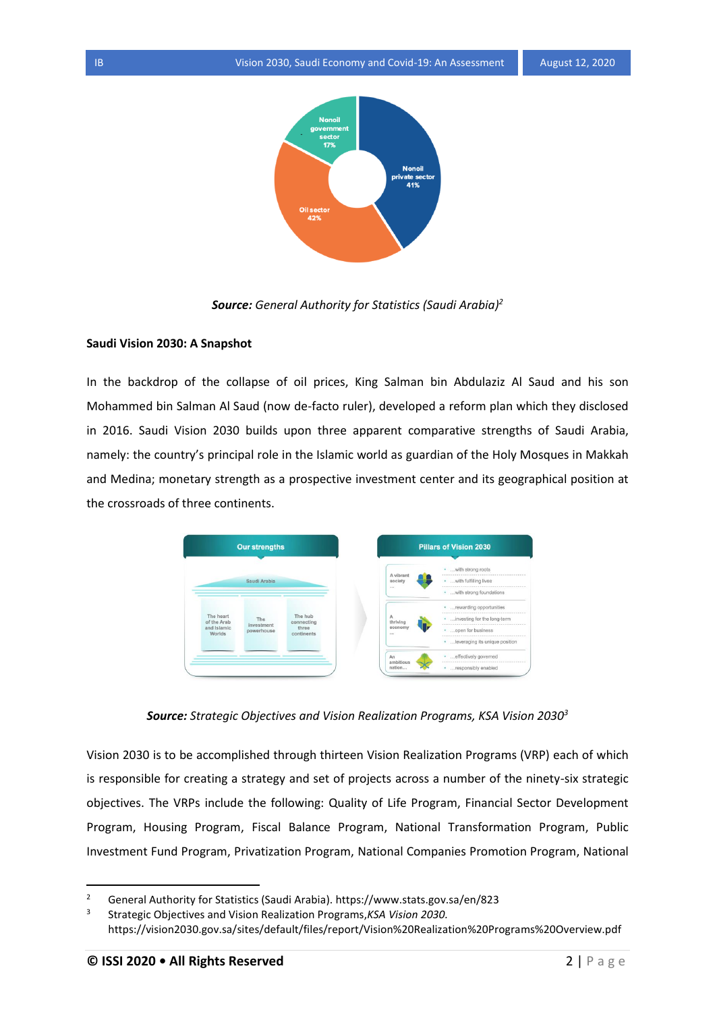

*Source: General Authority for Statistics (Saudi Arabia) 2*

#### **Saudi Vision 2030: A Snapshot**

In the backdrop of the collapse of oil prices, King Salman bin Abdulaziz Al Saud and his son Mohammed bin Salman Al Saud (now de-facto ruler), developed a reform plan which they disclosed in 2016. Saudi Vision 2030 builds upon three apparent comparative strengths of Saudi Arabia, namely: the country's principal role in the Islamic world as guardian of the Holy Mosques in Makkah and Medina; monetary strength as a prospective investment center and its geographical position at the crossroads of three continents.



*Source: Strategic Objectives and Vision Realization Programs, KSA Vision 2030<sup>3</sup>*

Vision 2030 is to be accomplished through thirteen Vision Realization Programs (VRP) each of which is responsible for creating a strategy and set of projects across a number of the ninety-six strategic objectives. The VRPs include the following: Quality of Life Program, Financial Sector Development Program, Housing Program, Fiscal Balance Program, National Transformation Program, Public Investment Fund Program, Privatization Program, National Companies Promotion Program, National

<sup>2</sup> General Authority for Statistics (Saudi Arabia).<https://www.stats.gov.sa/en/823>

<sup>3</sup> Strategic Objectives and Vision Realization Programs,*KSA Vision 2030.* <https://vision2030.gov.sa/sites/default/files/report/Vision%20Realization%20Programs%20Overview.pdf>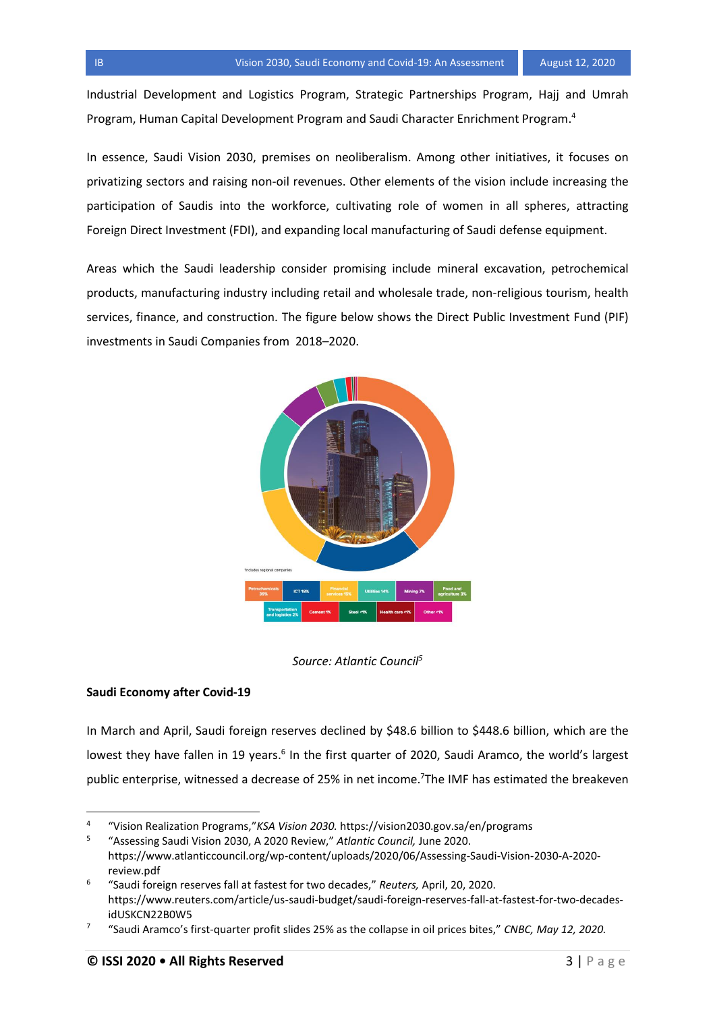Industrial Development and Logistics Program, Strategic Partnerships Program, Hajj and Umrah Program, Human Capital Development Program and Saudi Character Enrichment Program. 4

In essence, Saudi Vision 2030, premises on neoliberalism. Among other initiatives, it focuses on privatizing sectors and raising non-oil revenues. Other elements of the vision include increasing the participation of Saudis into the workforce, cultivating role of women in all spheres, attracting Foreign Direct Investment (FDI), and expanding local manufacturing of Saudi defense equipment.

Areas which the Saudi leadership consider promising include mineral excavation, petrochemical products, manufacturing industry including retail and wholesale trade, non-religious tourism, health services, finance, and construction. The figure below shows the Direct Public Investment Fund (PIF) investments in Saudi Companies from 2018–2020.



*Source: Atlantic Council<sup>5</sup>*

# **Saudi Economy after Covid-19**

In March and April, Saudi foreign reserves declined by \$48.6 billion to \$448.6 billion, which are the lowest they have fallen in 19 years.<sup>6</sup> In the first quarter of 2020, Saudi Aramco, the world's largest public enterprise, witnessed a decrease of 25% in net income.<sup>7</sup>The IMF has estimated the breakeven

<sup>4</sup> "Vision Realization Programs,"*KSA Vision 2030.* <https://vision2030.gov.sa/en/programs>

<sup>5</sup> "Assessing Saudi Vision 2030, A 2020 Review," *Atlantic Council,* June 2020. [https://www.atlanticcouncil.org/wp-content/uploads/2020/06/Assessing-Saudi-Vision-2030-A-2020](https://www.atlanticcouncil.org/wp-content/uploads/2020/06/Assessing-Saudi-Vision-2030-A-2020-review.pdf) [review.pdf](https://www.atlanticcouncil.org/wp-content/uploads/2020/06/Assessing-Saudi-Vision-2030-A-2020-review.pdf)

<sup>6</sup> "Saudi foreign reserves fall at fastest for two decades," *Reuters,* April, 20, 2020. [https://www.reuters.com/article/us-saudi-budget/saudi-foreign-reserves-fall-at-fastest-for-two-decades](https://www.reuters.com/article/us-saudi-budget/saudi-foreign-reserves-fall-at-fastest-for-two-decades-idUSKCN22B0W5)[idUSKCN22B0W5](https://www.reuters.com/article/us-saudi-budget/saudi-foreign-reserves-fall-at-fastest-for-two-decades-idUSKCN22B0W5)

<sup>7</sup> "Saudi Aramco's first-quarter profit slides 25% as the collapse in oil prices bites," *CNBC, May 12, 2020.*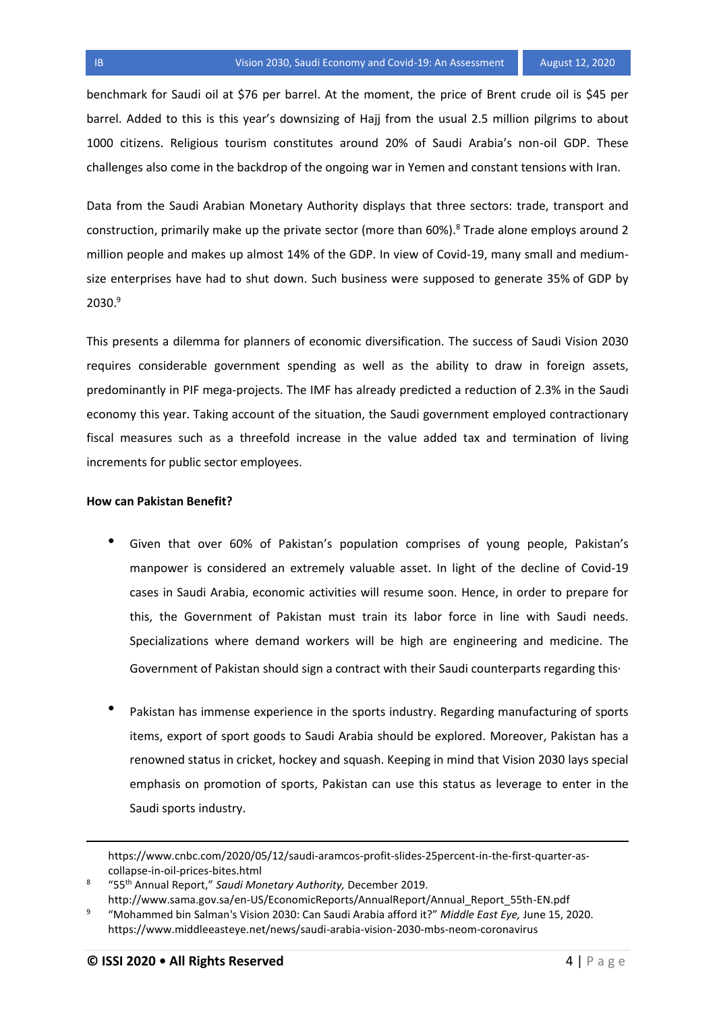benchmark for Saudi oil at \$76 per barrel. At the moment, the price of Brent crude oil is \$45 per barrel. Added to this is this year's downsizing of Hajj from the usual 2.5 million pilgrims to about 1000 citizens. Religious tourism constitutes around 20% of Saudi Arabia's non-oil GDP. These challenges also come in the backdrop of the ongoing war in Yemen and constant tensions with Iran.

Data from the Saudi Arabian Monetary Authority displays that three sectors: trade, transport and construction, primarily make up the private sector (more than 60%).<sup>8</sup> Trade alone employs around 2 million people and makes up almost 14% of the GDP. In view of Covid-19, many small and mediumsize enterprises have had to shut down. Such business were supposed to generate 35% of GDP by  $2030.<sup>9</sup>$ 

This presents a dilemma for planners of economic diversification. The success of Saudi Vision 2030 requires considerable government spending as well as the ability to draw in foreign assets, predominantly in PIF mega-projects. The IMF has already predicted a reduction of 2.3% in the Saudi economy this year. Taking account of the situation, the Saudi government employed contractionary fiscal measures such as a threefold increase in the value added tax and termination of living increments for public sector employees.

## **How can Pakistan Benefit?**

- Given that over 60% of Pakistan's population comprises of young people, Pakistan's manpower is considered an extremely valuable asset. In light of the decline of Covid-19 cases in Saudi Arabia, economic activities will resume soon. Hence, in order to prepare for this, the Government of Pakistan must train its labor force in line with Saudi needs. Specializations where demand workers will be high are engineering and medicine. The Government of Pakistan should sign a contract with their Saudi counterparts regarding this.
- Pakistan has immense experience in the sports industry. Regarding manufacturing of sports items, export of sport goods to Saudi Arabia should be explored. Moreover, Pakistan has a renowned status in cricket, hockey and squash. Keeping in mind that Vision 2030 lays special emphasis on promotion of sports, Pakistan can use this status as leverage to enter in the Saudi sports industry.

8 "55th Annual Report," *Saudi Monetary Authority,* December 2019. [http://www.sama.gov.sa/en-US/EconomicReports/AnnualReport/Annual\\_Report\\_55th-EN.pdf](http://www.sama.gov.sa/en-US/EconomicReports/AnnualReport/Annual_Report_55th-EN.pdf)

[https://www.cnbc.com/2020/05/12/saudi-aramcos-profit-slides-25percent-in-the-first-quarter-as](https://www.cnbc.com/2020/05/12/saudi-aramcos-profit-slides-25percent-in-the-first-quarter-as-collapse-in-oil-prices-bites.html)[collapse-in-oil-prices-bites.html](https://www.cnbc.com/2020/05/12/saudi-aramcos-profit-slides-25percent-in-the-first-quarter-as-collapse-in-oil-prices-bites.html)

<sup>9</sup> "Mohammed bin Salman's Vision 2030: Can Saudi Arabia afford it?" *Middle East Eye,* June 15, 2020. <https://www.middleeasteye.net/news/saudi-arabia-vision-2030-mbs-neom-coronavirus>